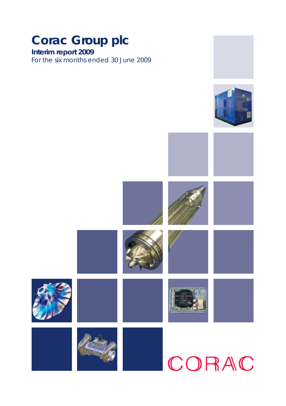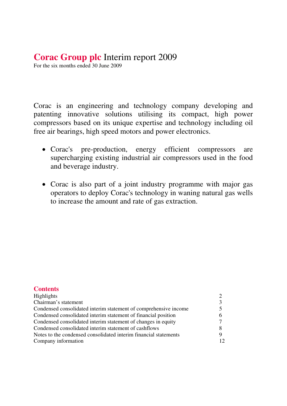For the six months ended 30 June 2009

**Contents** 

Corac is an engineering and technology company developing and patenting innovative solutions utilising its compact, high power compressors based on its unique expertise and technology including oil free air bearings, high speed motors and power electronics.

- Corac's pre-production, energy efficient compressors are supercharging existing industrial air compressors used in the food and beverage industry.
- Corac is also part of a joint industry programme with major gas operators to deploy Corac's technology in waning natural gas wells to increase the amount and rate of gas extraction.

| Contents                                                         |                 |
|------------------------------------------------------------------|-----------------|
| <b>Highlights</b>                                                |                 |
| Chairman's statement                                             |                 |
| Condensed consolidated interim statement of comprehensive income |                 |
| Condensed consolidated interim statement of financial position   | 6               |
| Condensed consolidated interim statement of changes in equity    |                 |
| Condensed consolidated interim statement of cashflows            | 8               |
| Notes to the condensed consolidated interim financial statements |                 |
| Company information                                              | 12 <sup>2</sup> |
|                                                                  |                 |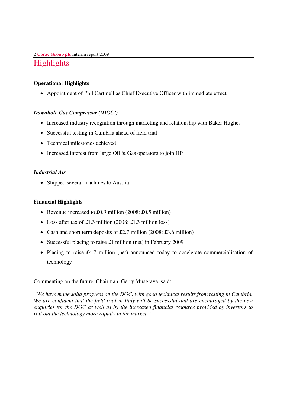# **Highlights**

### **Operational Highlights**

Appointment of Phil Cartmell as Chief Executive Officer with immediate effect

### *Downhole Gas Compressor ('DGC')*

- Increased industry recognition through marketing and relationship with Baker Hughes
- Successful testing in Cumbria ahead of field trial
- Technical milestones achieved
- Increased interest from large Oil & Gas operators to join JIP

### *Industrial Air*

• Shipped several machines to Austria

### **Financial Highlights**

- Revenue increased to £0.9 million (2008: £0.5 million)
- Loss after tax of £1.3 million (2008: £1.3 million loss)
- Cash and short term deposits of £2.7 million (2008: £3.6 million)
- Successful placing to raise £1 million (net) in February 2009
- Placing to raise £4.7 million (net) announced today to accelerate commercialisation of technology

Commenting on the future, Chairman, Gerry Musgrave, said:

*"We have made solid progress on the DGC, with good technical results from testing in Cumbria. We are confident that the field trial in Italy will be successful and are encouraged by the new enquiries for the DGC as well as by the increased financial resource provided by investors to roll out the technology more rapidly in the market."*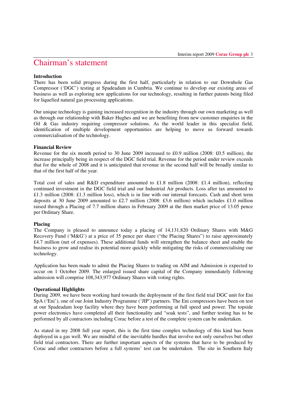# Chairman's statement

### **Introduction**

There has been solid progress during the first half, particularly in relation to our Downhole Gas Compressor ('DGC') testing at Spadeadam in Cumbria. We continue to develop our existing areas of business as well as exploring new applications for our technology, resulting in further patents being filed for liquefied natural gas processing applications.

Our unique technology is gaining increased recognition in the industry through our own marketing as well as through our relationship with Baker Hughes and we are benefiting from new customer enquiries in the Oil  $\&$  Gas industry requiring compressor solutions. As the world leader in this specialist field, identification of multiple development opportunities are helping to move us forward towards commercialisation of the technology.

### **Financial Review**

Revenue for the six month period to 30 June 2009 increased to £0.9 million (2008: £0.5 million), the increase principally being in respect of the DGC field trial. Revenue for the period under review exceeds that for the whole of 2008 and it is anticipated that revenue in the second half will be broadly similar to that of the first half of the year.

Total cost of sales and R&D expenditure amounted to £1.8 million (2008: £1.4 million), reflecting continued investment in the DGC field trial and our Industrial Air products. Loss after tax amounted to £1.3 million (2008: £1.3 million loss), which is in line with our internal forecasts. Cash and short term deposits at 30 June 2009 amounted to £2.7 million (2008: £3.6 million) which includes £1.0 million raised through a Placing of 7.7 million shares in February 2009 at the then market price of 13.05 pence per Ordinary Share.

### **Placing**

The Company is pleased to announce today a placing of 14,131,820 Ordinary Shares with M&G Recovery Fund ('M&G') at a price of 35 pence per share ("the Placing Shares") to raise approximately £4.7 million (net of expenses). These additional funds will strengthen the balance sheet and enable the business to grow and realise its potential more quickly while mitigating the risks of commercialising our technology.

Application has been made to admit the Placing Shares to trading on AIM and Admission is expected to occur on 1 October 2009. The enlarged issued share capital of the Company immediately following admission will comprise 108,343,977 Ordinary Shares with voting rights.

### **Operational Highlights**

During 2009, we have been working hard towards the deployment of the first field trial DGC unit for Eni SpA ('Eni'), one of our Joint Industry Programme ('JIP') partners. The Eni compressors have been on test at our Spadeadam loop facility where they have been performing at full speed and power. The topside power electronics have completed all their functionality and "soak tests", and further testing has to be performed by all contractors including Corac before a test of the complete system can be undertaken.

As stated in my 2008 full year report, this is the first time complex technology of this kind has been deployed in a gas well. We are mindful of the inevitable hurdles that involve not only ourselves but other field trial contractors. There are further important aspects of the systems that have to be produced by Corac and other contractors before a full systems' test can be undertaken. The site in Southern Italy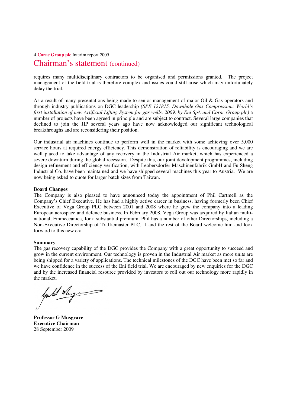## Chairman's statement (continued)

requires many multidisciplinary contractors to be organised and permissions granted. The project management of the field trial is therefore complex and issues could still arise which may unfortunately delay the trial.

As a result of many presentations being made to senior management of major Oil & Gas operators and through industry publications on DGC leadership *(SPE 121815, Downhole Gas Compression: World's first installation of new Artificial Lifting System for gas wells, 2009, by Eni SpA and Corac Group plc)* a number of projects have been agreed in principle and are subject to contract. Several large companies that declined to join the JIP several years ago have now acknowledged our significant technological breakthroughs and are reconsidering their position.

Our industrial air machines continue to perform well in the market with some achieving over 5,000 service hours at required energy efficiency. This demonstration of reliability is encouraging and we are well placed to take advantage of any recovery in the Industrial Air market, which has experienced a severe downturn during the global recession. Despite this, our joint development programmes, including design refinement and efficiency verification, with Leobersdorfer Maschinenfabrik GmbH and Fu Sheng Industrial Co. have been maintained and we have shipped several machines this year to Austria. We are now being asked to quote for larger batch sizes from Taiwan.

### **Board Changes**

The Company is also pleased to have announced today the appointment of Phil Cartmell as the Company's Chief Executive. He has had a highly active career in business, having formerly been Chief Executive of Vega Group PLC between 2001 and 2008 where he grew the company into a leading European aerospace and defence business. In February 2008, Vega Group was acquired by Italian multinational, Finmeccanica, for a substantial premium. Phil has a number of other Directorships, including a Non-Executive Directorship of Trafficmaster PLC. I and the rest of the Board welcome him and look forward to this new era.

#### **Summary**

The gas recovery capability of the DGC provides the Company with a great opportunity to succeed and grow in the current environment. Our technology is proven in the Industrial Air market as more units are being shipped for a variety of applications. The technical milestones of the DGC have been met so far and we have confidence in the success of the Eni field trial. We are encouraged by new enquiries for the DGC and by the increased financial resource provided by investors to roll out our technology more rapidly in the market.

fortil why

**Professor G Musgrave Executive Chairman**  28 September 2009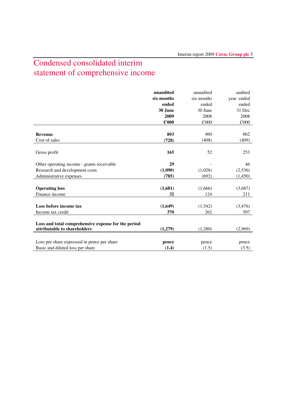# Condensed consolidated interim statement of comprehensive income

|                                                     | unaudited  | unaudited  | audited    |
|-----------------------------------------------------|------------|------------|------------|
|                                                     | six months | six months | year ended |
|                                                     | ended      | ended      | ended      |
|                                                     | 30 June    | 30 June    | 31 Dec     |
|                                                     | 2009       | 2008       | 2008       |
|                                                     | £'000      | £'000      | £'000      |
|                                                     |            |            |            |
| <b>Revenue</b>                                      | 893        | 460        | 662        |
| Cost of sales                                       | (728)      | (408)      | (409)      |
|                                                     |            |            |            |
| Gross profit                                        | 165        | 52         | 253        |
|                                                     |            |            |            |
| Other operating income - grants receivable          | 29         |            | 46         |
| Research and development costs                      | (1,090)    | (1,026)    | (2,536)    |
| Administrative expenses                             | (785)      | (692)      | (1,450)    |
|                                                     |            |            |            |
| <b>Operating loss</b>                               | (1,681)    | (1,666)    | (3,687)    |
| Finance income                                      | 32         | 124        | 211        |
|                                                     |            |            |            |
| Loss before income tax                              | (1,649)    | (1,542)    | (3, 476)   |
| Income tax credit                                   | 370        | 262        | 507        |
|                                                     |            |            |            |
| Loss and total comprehensive expense for the period |            |            |            |
| attributable to shareholders                        | (1,279)    | (1,280)    | (2,969)    |
|                                                     |            |            |            |
| Loss per share expressed in pence per share         | pence      | pence      | pence      |
| Basic and diluted loss per share                    | (1.4)      | (1.5)      | (3.5)      |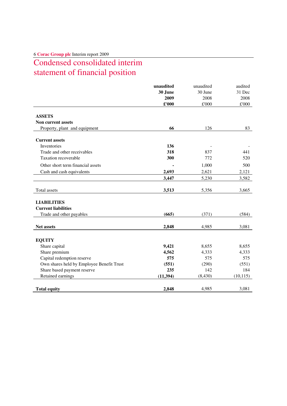# Condensed consolidated interim statement of financial position

|                                           | unaudited | unaudited | audited   |
|-------------------------------------------|-----------|-----------|-----------|
|                                           | 30 June   | 30 June   | 31 Dec    |
|                                           | 2009      | 2008      | 2008      |
|                                           | £'000     | £'000     | £'000     |
|                                           |           |           |           |
| <b>ASSETS</b>                             |           |           |           |
| <b>Non current assets</b>                 |           |           |           |
| Property, plant and equipment             | 66        | 126       | 83        |
| <b>Current assets</b>                     |           |           |           |
| <b>Inventories</b>                        | 136       |           |           |
| Trade and other receivables               | 318       | 837       | 441       |
| Taxation recoverable                      | 300       | 772       | 520       |
| Other short term financial assets         |           | 1,000     | 500       |
|                                           |           |           |           |
| Cash and cash equivalents                 | 2,693     | 2,621     | 2,121     |
|                                           | 3,447     | 5,230     | 3,582     |
| Total assets                              | 3,513     | 5,356     | 3,665     |
| <b>LIABILITIES</b>                        |           |           |           |
| <b>Current liabilities</b>                |           |           |           |
| Trade and other payables                  | (665)     | (371)     | (584)     |
|                                           |           |           |           |
| <b>Net assets</b>                         | 2,848     | 4,985     | 3,081     |
|                                           |           |           |           |
| <b>EQUITY</b>                             |           |           |           |
| Share capital                             | 9,421     | 8,655     | 8,655     |
| Share premium                             | 4,562     | 4,333     | 4,333     |
| Capital redemption reserve                | 575       | 575       | 575       |
| Own shares held by Employee Benefit Trust | (551)     | (290)     | (551)     |
| Share based payment reserve               | 235       | 142       | 184       |
| Retained earnings                         | (11, 394) | (8, 430)  | (10, 115) |
|                                           |           |           |           |
| <b>Total equity</b>                       | 2,848     | 4,985     | 3,081     |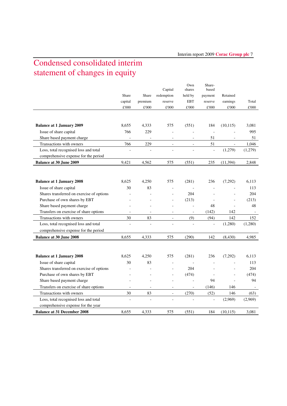# Condensed consolidated interim statement of changes in equity

|                                           |                |                | Capital        | Own<br>shares  | Share-<br>based |                |                          |
|-------------------------------------------|----------------|----------------|----------------|----------------|-----------------|----------------|--------------------------|
|                                           | Share          | Share          | redemption     | held by        | payment         | Retained       |                          |
|                                           | capital        | premium        | reserve        | <b>EBT</b>     | reserve         | earnings       | Total                    |
|                                           | £'000          | £'000          | £'000          | £'000          | £'000           | £'000          | £'000                    |
|                                           |                |                |                |                |                 |                |                          |
|                                           |                |                |                |                |                 |                |                          |
| <b>Balance at 1 January 2009</b>          | 8,655          | 4,333          | 575            | (551)          | 184             | (10, 115)      | 3,081                    |
| Issue of share capital                    | 766            | 229            |                |                | $\overline{a}$  |                | 995                      |
| Share based payment charge                | ÷,             | $\overline{a}$ | L,             | ÷              | 51              | $\overline{a}$ | 51                       |
| Transactions with owners                  | 766            | 229            | $\overline{a}$ | ÷              | 51              | $\sim$         | 1,046                    |
| Loss, total recognised loss and total     |                | $\overline{a}$ | L,             | ÷              | $\overline{a}$  | (1,279)        | (1,279)                  |
| comprehensive expense for the period      |                |                |                |                |                 |                |                          |
| Balance at 30 June 2009                   | 9.421          | 4.562          | 575            | (551)          | 235             | (11, 394)      | 2.848                    |
|                                           |                |                |                |                |                 |                |                          |
|                                           |                |                |                |                |                 |                |                          |
| <b>Balance at 1 January 2008</b>          | 8.625          | 4.250          | 575            | (281)          | 236             | (7,292)        | 6.113                    |
| Issue of share capital                    | 30             | 83             |                |                |                 |                | 113                      |
| Shares transferred on exercise of options |                |                |                | 204            |                 |                | 204                      |
| Purchase of own shares by EBT             |                | $\overline{a}$ | L,             | (213)          |                 | $\overline{a}$ | (213)                    |
| Share based payment charge                |                | $\overline{a}$ |                | L,             | 48              | $\overline{a}$ | 48                       |
| Transfers on exercise of share options    | ÷              | $\overline{a}$ | ÷              | $\overline{a}$ | (142)           | 142            | $\overline{\phantom{a}}$ |
| Transactions with owners                  | 30             | 83             | $\overline{a}$ | (9)            | (94)            | 142            | 152                      |
| Loss, total recognised loss and total     | L,             | $\overline{a}$ | í,             | ÷              | $\overline{a}$  | (1,280)        | (1,280)                  |
| comprehensive expense for the period      |                |                |                |                |                 |                |                          |
| Balance at 30 June 2008                   | 8.655          | 4.333          | 575            | (290)          | 142             | (8, 430)       | 4,985                    |
|                                           |                |                |                |                |                 |                |                          |
|                                           |                |                |                |                |                 |                |                          |
| <b>Balance at 1 January 2008</b>          | 8.625          | 4,250          | 575            | (281)          | 236             | (7,292)        | 6,113                    |
| Issue of share capital                    | 30             | 83             | J.             | $\overline{a}$ | $\overline{a}$  | ÷              | 113                      |
| Shares transferred on exercise of options | $\overline{a}$ |                | ÷              | 204            |                 | ÷              | 204                      |
| Purchase of own shares by EBT             | $\overline{a}$ | $\overline{a}$ | $\overline{a}$ | (474)          |                 | ÷              | (474)                    |
| Share based payment charge                |                | L,             | Ĭ.             | L,             | 94              | L,             | 94                       |
| Transfers on exercise of share options    | ÷              | L,             | Ĭ.             | ÷              | (146)           | 146            | $\overline{\phantom{a}}$ |
| Transactions with owners                  | 30             | 83             | $\overline{a}$ | (270)          | (52)            | 146            | (63)                     |
| Loss, total recognised loss and total     |                | $\overline{a}$ | J.             | L,             | $\overline{a}$  | (2,969)        | (2,969)                  |
| comprehensive expense for the year        |                |                |                |                |                 |                |                          |
| <b>Balance at 31 December 2008</b>        | 8.655          | 4,333          | 575            | (551)          | 184             | (10, 115)      | 3,081                    |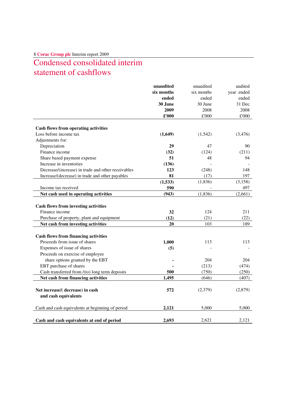# Condensed consolidated interim statement of cashflows

|                                                    | unaudited  | unaudited  | audited    |
|----------------------------------------------------|------------|------------|------------|
|                                                    | six months | six months | year ended |
|                                                    | ended      | ended      | ended      |
|                                                    | 30 June    | 30 June    | 31 Dec     |
|                                                    | 2009       | 2008       | 2008       |
|                                                    | £'000      | £'000      | £'000      |
|                                                    |            |            |            |
| <b>Cash flows from operating activities</b>        |            |            |            |
| Loss before income tax                             | (1,649)    | (1,542)    | (3, 476)   |
| Adjustments for:                                   |            |            |            |
| Depreciation                                       | 29         | 47         | 90         |
| Finance income                                     | (32)       | (124)      | (211)      |
| Share based payment expense                        | 51         | 48         | 94         |
| Increase in inventories                            | (136)      |            |            |
| Decrease/(increase) in trade and other receivables | 123        | (248)      | 148        |
| Increase/(decrease) in trade and other payables    | 81         | (17)       | 197        |
|                                                    | (1,533)    | (1,836)    | (3, 158)   |
| Income tax received                                | 590        |            | 497        |
| Net cash used in operating activities              | (943)      | (1, 836)   | (2,661)    |
|                                                    |            |            |            |
| <b>Cash flows from investing activities</b>        |            |            |            |
| Finance income                                     | 32         | 124        | 211        |
| Purchase of property, plant and equipment          | (12)       | (21)       | (22)       |
| Net cash from investing activities                 | 20         | 103        | 189        |
|                                                    |            |            |            |
| <b>Cash flows from financing activities</b>        |            |            |            |
| Proceeds from issue of shares                      | 1,000      | 113        | 113        |
| Expenses of issue of shares                        | (5)        |            |            |
| Proceeds on exercise of employee                   |            |            |            |
| share options granted by the EBT                   |            | 204        | 204        |
| EBT purchase of shares                             |            | (213)      | (474)      |
| Cash transferred from /(to) long term deposits     | 500        | (750)      | (250)      |
| Net cash from financing activities                 | 1,495      | (646)      | (407)      |
|                                                    |            |            |            |
| Net increase/(decrease) in cash                    | 572        | (2,379)    | (2,879)    |
| and cash equivalents                               |            |            |            |
|                                                    |            |            |            |
| Cash and cash equivalents at beginning of period   | 2,121      | 5,000      | 5,000      |
|                                                    |            |            |            |
| Cash and cash equivalents at end of period         | 2,693      | 2.621      | 2,121      |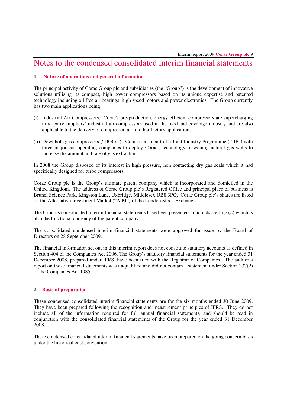## Notes to the condensed consolidated interim financial statements

### **1. Nature of operations and general information**

The principal activity of Corac Group plc and subsidiaries (the "Group") is the development of innovative solutions utilising its compact, high power compressors based on its unique expertise and patented technology including oil free air bearings, high speed motors and power electronics. The Group currently has two main applications being:

- (i) Industrial Air Compressors. Corac's pre-production, energy efficient compressors are supercharging third party suppliers' industrial air compressors used in the food and beverage industry and are also applicable to the delivery of compressed air to other factory applications.
- (ii) Downhole gas compressors ("DGCs"). Corac is also part of a Joint Industry Programme ("JIP") with three major gas operating companies to deploy Corac's technology in waning natural gas wells to increase the amount and rate of gas extraction.

In 2008 the Group disposed of its interest in high pressure, non contacting dry gas seals which it had specifically designed for turbo compressors.

Corac Group plc is the Group's ultimate parent company which is incorporated and domiciled in the United Kingdom. The address of Corac Group plc's Registered Office and principal place of business is Brunel Science Park, Kingston Lane, Uxbridge, Middlesex UB8 3PQ. Corac Group plc's shares are listed on the Alternative Investment Market ("AIM") of the London Stock Exchange.

The Group's consolidated interim financial statements have been presented in pounds sterling  $(f)$  which is also the functional currency of the parent company.

The consolidated condensed interim financial statements were approved for issue by the Board of Directors on 28 September 2009.

The financial information set out in this interim report does not constitute statutory accounts as defined in Section 404 of the Companies Act 2006. The Group's statutory financial statements for the year ended 31 December 2008, prepared under IFRS, have been filed with the Registrar of Companies. The auditor's report on those financial statements was unqualified and did not contain a statement under Section 237(2) of the Companies Act 1985.

### **2. Basis of preparation**

These condensed consolidated interim financial statements are for the six months ended 30 June 2009. They have been prepared following the recognition and measurement principles of IFRS. They do not include all of the information required for full annual financial statements, and should be read in conjunction with the consolidated financial statements of the Group for the year ended 31 December 2008.

These condensed consolidated interim financial statements have been prepared on the going concern basis under the historical cost convention.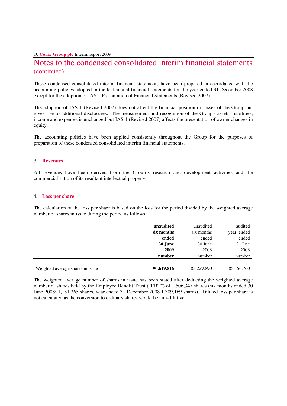## Notes to the condensed consolidated interim financial statements (continued)

These condensed consolidated interim financial statements have been prepared in accordance with the accounting policies adopted in the last annual financial statements for the year ended 31 December 2008 except for the adoption of IAS 1 Presentation of Financial Statements (Revised 2007).

The adoption of IAS 1 (Revised 2007) does not affect the financial position or losses of the Group but gives rise to additional disclosures. The measurement and recognition of the Group's assets, liabilities, income and expenses is unchanged but IAS 1 (Revised 2007) affects the presentation of owner changes in equity.

The accounting policies have been applied consistently throughout the Group for the purposes of preparation of these condensed consolidated interim financial statements.

### **3. Revenues**

All revenues have been derived from the Group's research and development activities and the commercialisation of its resultant intellectual property.

### **4. Loss per share**

The calculation of the loss per share is based on the loss for the period divided by the weighted average number of shares in issue during the period as follows:

|                                  | unaudited<br>six months | unaudited<br>six months | audited<br>year ended |
|----------------------------------|-------------------------|-------------------------|-----------------------|
|                                  | ended                   | ended                   | ended                 |
|                                  | 30 June                 | 30 June                 | 31 Dec                |
|                                  | 2009                    | 2008                    | 2008                  |
|                                  | number                  | number                  | number                |
| Weighted average shares in issue | 90,619,816              | 85.229.890              | 85,156,760            |

The weighted average number of shares in issue has been stated after deducting the weighted average number of shares held by the Employee Benefit Trust ("EBT") of 1,506,347 shares (six months ended 30 June 2008: 1,151,265 shares, year ended 31 December 2008 1,309,169 shares). Diluted loss per share is not calculated as the conversion to ordinary shares would be anti-dilutive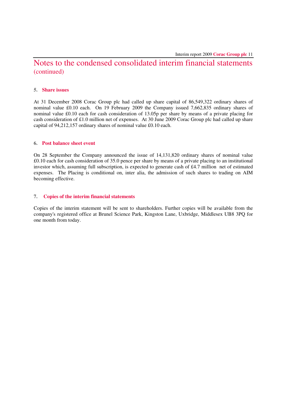## Notes to the condensed consolidated interim financial statements (continued)

### **5. Share issues**

At 31 December 2008 Corac Group plc had called up share capital of 86,549,322 ordinary shares of nominal value £0.10 each. On 19 February 2009 the Company issued 7,662,835 ordinary shares of nominal value £0.10 each for cash consideration of 13.05p per share by means of a private placing for cash consideration of £1.0 million net of expenses. At 30 June 2009 Corac Group plc had called up share capital of 94,212,157 ordinary shares of nominal value £0.10 each.

### **6. Post balance sheet event**

On 28 September the Company announced the issue of 14,131,820 ordinary shares of nominal value £0.10 each for cash consideration of 35.0 pence per share by means of a private placing to an institutional investor which, assuming full subscription, is expected to generate cash of £4.7 million net of estimated expenses. The Placing is conditional on, inter alia, the admission of such shares to trading on AIM becoming effective.

#### **7. Copies of the interim financial statements**

Copies of the interim statement will be sent to shareholders. Further copies will be available from the company's registered office at Brunel Science Park, Kingston Lane, Uxbridge, Middlesex UB8 3PQ for one month from today.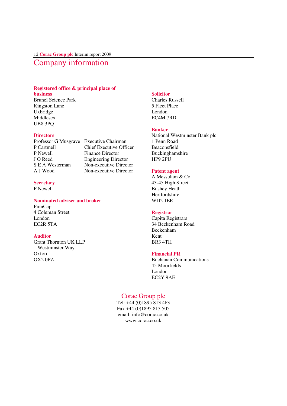# Company information

### **Registered office & principal place of business**

Brunel Science Park Kingston Lane Uxbridge Middlesex UB8 3PQ

### **Directors**

P Newell Finance Director<br>
I O Reed Fasineering Dire

Professor G Musgrave Executive Chairman<br>P Cartmell Chief Executive Offi Chief Executive Officer Engineering Director S E A Westerman Non-executive Director<br>A J Wood Non-executive Director Non-executive Director

### **Secretary**

P Newell

### **Nominated adviser and broker**

FinnCap 4 Coleman Street London EC2R 5TA

### **Auditor**

Grant Thornton UK LLP 1 Westminster Way Oxford OX2 0PZ

### **Solicitor**

Charles Russell 5 Fleet Place London EC4M 7RD

#### **Banker**

National Westminster Bank plc 1 Penn Road Beaconsfield Buckinghamshire HP9 2PU

### **Patent agent**

A Messulam & Co 43-45 High Street Bushey Heath Hertfordshire WD2 1EE

### **Registrar**

Capita Registrars 34 Beckenham Road Beckenham Kent BR3 4TH

### **Financial PR**

Buchanan Communications 45 Moorfields London EC2Y 9AE

## Corac Group plc

Tel: +44 (0)1895 813 463 Fax +44 (0)1895 813 505 email: info@corac.co.uk www.corac.co.uk